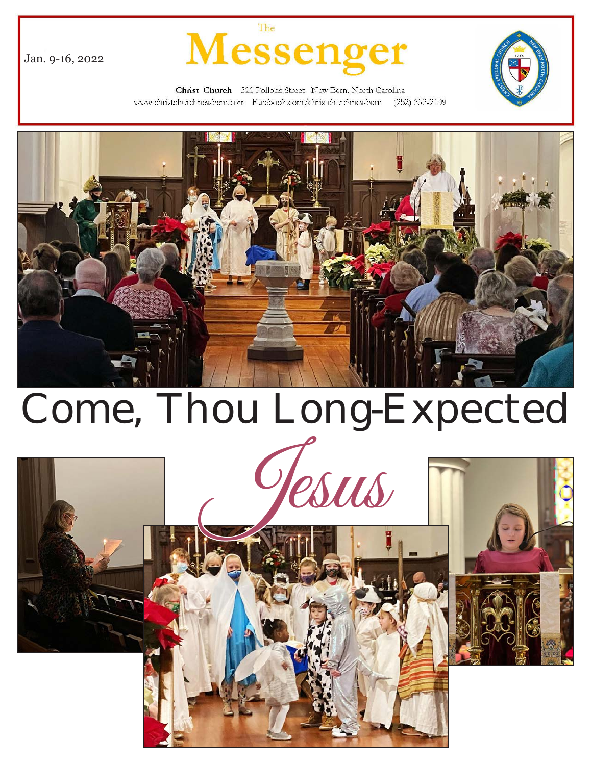

Jan. 9-16, 2022



Christ Church 320 Pollock Street New Bern, North Carolina www.christchurchnewbern.com Facebook.com/christchurchnewbern (252) 633-2109



# Come, Thou Long-Expected

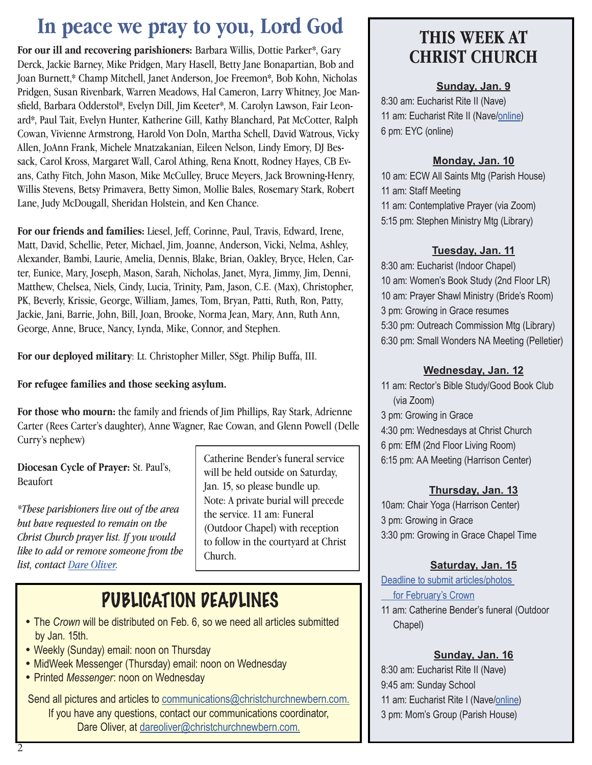## **In peace we pray to you, Lord God**

**For our ill and recovering parishioners:** Barbara Willis, Dottie Parker\*, Gary Derck, Jackie Barney, Mike Pridgen, Mary Hasell, Betty Jane Bonapartian, Bob and Joan Burnett,\* Champ Mitchell, Janet Anderson, Joe Freemon\*, Bob Kohn, Nicholas Pridgen, Susan Rivenbark, Warren Meadows, Hal Cameron, Larry Whitney, Joe Mansfield, Barbara Odderstol\*, Evelyn Dill, Jim Keeter\*, M. Carolyn Lawson, Fair Leonard\*, Paul Tait, Evelyn Hunter, Katherine Gill, Kathy Blanchard, Pat McCotter, Ralph Cowan, Vivienne Armstrong, Harold Von Doln, Martha Schell, David Watrous, Vicky Allen, JoAnn Frank, Michele Mnatzakanian, Eileen Nelson, Lindy Emory, DJ Bessack, Carol Kross, Margaret Wall, Carol Athing, Rena Knott, Rodney Hayes, CB Evans, Cathy Fitch, John Mason, Mike McCulley, Bruce Meyers, Jack Browning-Henry, Willis Stevens, Betsy Primavera, Betty Simon, Mollie Bales, Rosemary Stark, Robert Lane, Judy McDougall, Sheridan Holstein, and Ken Chance.

**For our friends and families:** Liesel, Jeff, Corinne, Paul, Travis, Edward, Irene, Matt, David, Schellie, Peter, Michael, Jim, Joanne, Anderson, Vicki, Nelma, Ashley, Alexander, Bambi, Laurie, Amelia, Dennis, Blake, Brian, Oakley, Bryce, Helen, Carter, Eunice, Mary, Joseph, Mason, Sarah, Nicholas, Janet, Myra, Jimmy, Jim, Denni, Matthew, Chelsea, Niels, Cindy, Lucia, Trinity, Pam, Jason, C.E. (Max), Christopher, PK, Beverly, Krissie, George, William, James, Tom, Bryan, Patti, Ruth, Ron, Patty, Jackie, Jani, Barrie, John, Bill, Joan, Brooke, Norma Jean, Mary, Ann, Ruth Ann, George, Anne, Bruce, Nancy, Lynda, Mike, Connor, and Stephen.

**For our deployed military**: Lt. Christopher Miller, SSgt. Philip Buffa, III.

#### **For refugee families and those seeking asylum.**

**For those who mourn:** the family and friends of Jim Phillips, Ray Stark, Adrienne Carter (Rees Carter's daughter), Anne Wagner, Rae Cowan, and Glenn Powell (Delle Curry's nephew)

**Diocesan Cycle of Prayer:** St. Paul's, Beaufort

*\*These parishioners live out of the area but have requested to remain on the Christ Church prayer list. If you would like to add or remove someone from the list, contact Dare Oliver.*

Catherine Bender's funeral service will be held outside on Saturday, Jan. 15, so please bundle up. Note: A private burial will precede the service. 11 am: Funeral (Outdoor Chapel) with reception to follow in the courtyard at Christ Church.

## PUBLICATION DEADLINES

- The *Crown* will be distributed on Feb. 6, so we need all articles submitted by Jan. 15th.
- Weekly (Sunday) email: noon on Thursday
- MidWeek Messenger (Thursday) email: noon on Wednesday
- Printed *Messenger*: noon on Wednesday

Send all pictures and articles to [communications@christchurchnewbern.com.](mailto:communications@christchurchnewbern.com) If you have any questi[ons, contact our communications coor](mailto:dareoliver%40christchurchnewbern.com?subject=)dinator, Dare Oliver, at dareoliver@christchurchnewbern.com.

### **THIS WEEK AT CHRIST CHURCH**

#### **Sunday, Jan. 9**

8:30 am: Eucharist Rite II (Nave) 11 am: Eucharist Rite II (Nave[/online\)](https://youtu.be/fSDG-lps1eE) 6 pm: EYC (online)

#### **Monday, Jan. 10**

10 am: ECW All Saints Mtg (Parish House) 11 am: Staff Meeting 11 am: Contemplative Prayer (via Zoom) 5:15 pm: Stephen Ministry Mtg (Library)

#### **Tuesday, Jan. 11**

8:30 am: Eucharist (Indoor Chapel) 10 am: Women's Book Study (2nd Floor LR) 10 am: Prayer Shawl Ministry (Bride's Room) 3 pm: Growing in Grace resumes 5:30 pm: Outreach Commission Mtg (Library) 6:30 pm: Small Wonders NA Meeting (Pelletier)

#### **Wednesday, Jan. 12**

11 am: Rector's Bible Study/Good Book Club (via Zoom) 3 pm: Growing in Grace 4:30 pm: Wednesdays at Christ Church 6 pm: EfM (2nd Floor Living Room) 6:15 pm: AA Meeting (Harrison Center)

#### **Thursday, Jan. 13**

10am: Chair Yoga (Harrison Center) 3 pm: Growing in Grace 3:30 pm: Growing in Grace Chapel Time

#### **Saturday, Jan. 15**

[Deadline to submit articles/photos](mailto:communications%40christchurchnewbern.com?subject=)   [for February's Crown](mailto:communications%40christchurchnewbern.com?subject=) 11 am: Catherine Bender's funeral (Outdoor Chapel)

#### **Sunday, Jan. 16**

8:30 am: Eucharist Rite II (Nave) 9:45 am: Sunday School 11 am: Eucharist Rite I (Nave[/online](https://youtu.be/X_5iUSZlS_k)) 3 pm: Mom's Group (Parish House)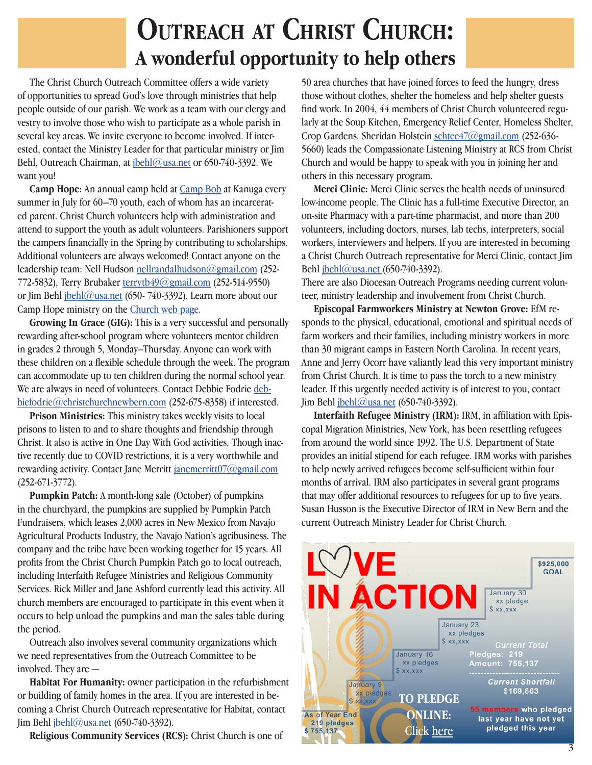## **Outreach at Christ Church: A wonderful opportunity to help others**

 The Christ Church Outreach Committee offers a wide variety of opportunities to spread God's love through ministries that help people outside of our parish. We work as a team with our clergy and vestry to involve those who wish to participate as a whole parish in several key areas. We invite everyone to become involved. If interested, contact the Ministry Leader for that particular ministry or Jim Behl, Outreach Chairman, at *jbehl@usa.net* or 650-740-3392. We want you!

 **Camp Hope:** An annual camp held at [Camp Bob](http://www.kanuga.org/camps-and-outdoor-education/camp-bob/) at Kanuga every summer in July for 60–70 youth, each of whom has an incarcerated parent. Christ Church volunteers help with administration and attend to support the youth as adult volunteers. Parishioners support the campers financially in the Spring by contributing to scholarships. Additional volunteers are always welcomed! Contact anyone on the leadership team: Nell Hudson nellrandalhudson $\omega$ gmail.com (252-772-5832), Terry Brubaker terrytb $49\textcircled{a}$ gmail.com (252-514-9550) or Jim Behl  $\frac{\delta}{\delta}$  ibehl@usa.net (650- 740-3392). Learn more about our Camp Hope ministry on the [Church web page](http://www.christchurchnewbern.com).

 **Growing In Grace (GIG):** This is a very successful and personally rewarding after-school program where volunteers mentor children in grades 2 through 5, Monday–Thursday. Anyone can work with these children on a flexible schedule through the week. The program can accommodate up to ten children during the normal school year. We are always in need of volunteers. Contact Debbie Fodrie [deb](mailto:debbiefodrie%40christchurchnewbern.com?subject=)[biefodrie@christchurchnewbern.com](mailto:debbiefodrie%40christchurchnewbern.com?subject=) (252-675-8358) if interested.

 **Prison Ministries:** This ministry takes weekly visits to local prisons to listen to and to share thoughts and friendship through Christ. It also is active in One Day With God activities. Though inactive recently due to COVID restrictions, it is a very worthwhile and rewarding activity. Contact Jane Merritt janemerritt $07\omega$ gmail.com (252-671-3772).

 **Pumpkin Patch:** A month-long sale (October) of pumpkins in the churchyard, the pumpkins are supplied by Pumpkin Patch Fundraisers, which leases 2,000 acres in New Mexico from Navajo Agricultural Products Industry, the Navajo Nation's agribusiness. The company and the tribe have been working together for 15 years. All profits from the Christ Church Pumpkin Patch go to local outreach, including Interfaith Refugee Ministries and Religious Community Services. Rick Miller and Jane Ashford currently lead this activity. All church members are encouraged to participate in this event when it occurs to help unload the pumpkins and man the sales table during the period.

 Outreach also involves several community organizations which we need representatives from the Outreach Committee to be involved. They are —

 **Habitat For Humanity:** owner participation in the refurbishment or building of family homes in the area. If you are interested in becoming a Christ Church Outreach representative for Habitat, contact Jim Behl [jbehl@usa.net](mailto:jbehl%40usa.net?subject=) (650-740-3392).

**Religious Community Services (RCS):** Christ Church is one of

50 area churches that have joined forces to feed the hungry, dress those without clothes, shelter the homeless and help shelter guests find work. In 2004, 44 members of Christ Church volunteered regularly at the Soup Kitchen, Emergency Relief Center, Homeless Shelter, Crop Gardens. Sheridan Holstein [schtee47@gmail.com](mailto:schtee47%40gmail.com?subject=) (252-636- 5660) leads the Compassionate Listening Ministry at RCS from Christ Church and would be happy to speak with you in joining her and others in this necessary program.

 **Merci Clinic:** Merci Clinic serves the health needs of uninsured low-income people. The Clinic has a full-time Executive Director, an on-site Pharmacy with a part-time pharmacist, and more than 200 volunteers, including doctors, nurses, lab techs, interpreters, social workers, interviewers and helpers. If you are interested in becoming a Christ Church Outreach representative for Merci Clinic, contact Jim Behl [jbehl@usa.net \(](mailto:jbehl%40usa.net%20?subject=)650-740-3392).

There are also Diocesan Outreach Programs needing current volunteer, ministry leadership and involvement from Christ Church.

 **Episcopal Farmworkers Ministry at Newton Grove:** EfM responds to the physical, educational, emotional and spiritual needs of farm workers and their families, including ministry workers in more than 30 migrant camps in Eastern North Carolina. In recent years, Anne and Jerry Ocorr have valiantly lead this very important ministry from Christ Church. It is time to pass the torch to a new ministry leader. If this urgently needed activity is of interest to you, contact Jim Behl [jbehl@usa.net](mailto:jbehl%40usa.net?subject=) (650-740-3392).

 **Interfaith Refugee Ministry (IRM):** IRM, in affiliation with Episcopal Migration Ministries, New York, has been resettling refugees from around the world since 1992. The U.S. Department of State provides an initial stipend for each refugee. IRM works with parishes to help newly arrived refugees become self-sufficient within four months of arrival. IRM also participates in several grant programs that may offer additional resources to refugees for up to five years. Susan Husson is the Executive Director of IRM in New Bern and the current Outreach Ministry Leader for Christ Church.